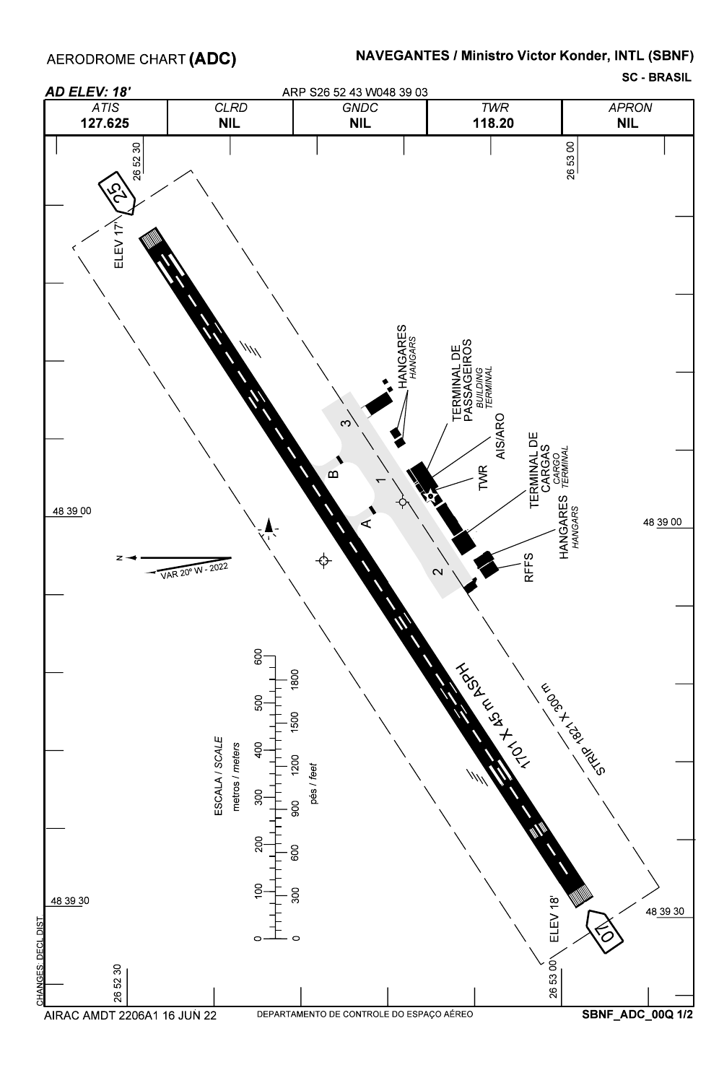AERODROME CHART **(ADC)** 

## NAVEGANTES / Ministro Victor Konder, INTL (SBNF)

SC - BRASIL